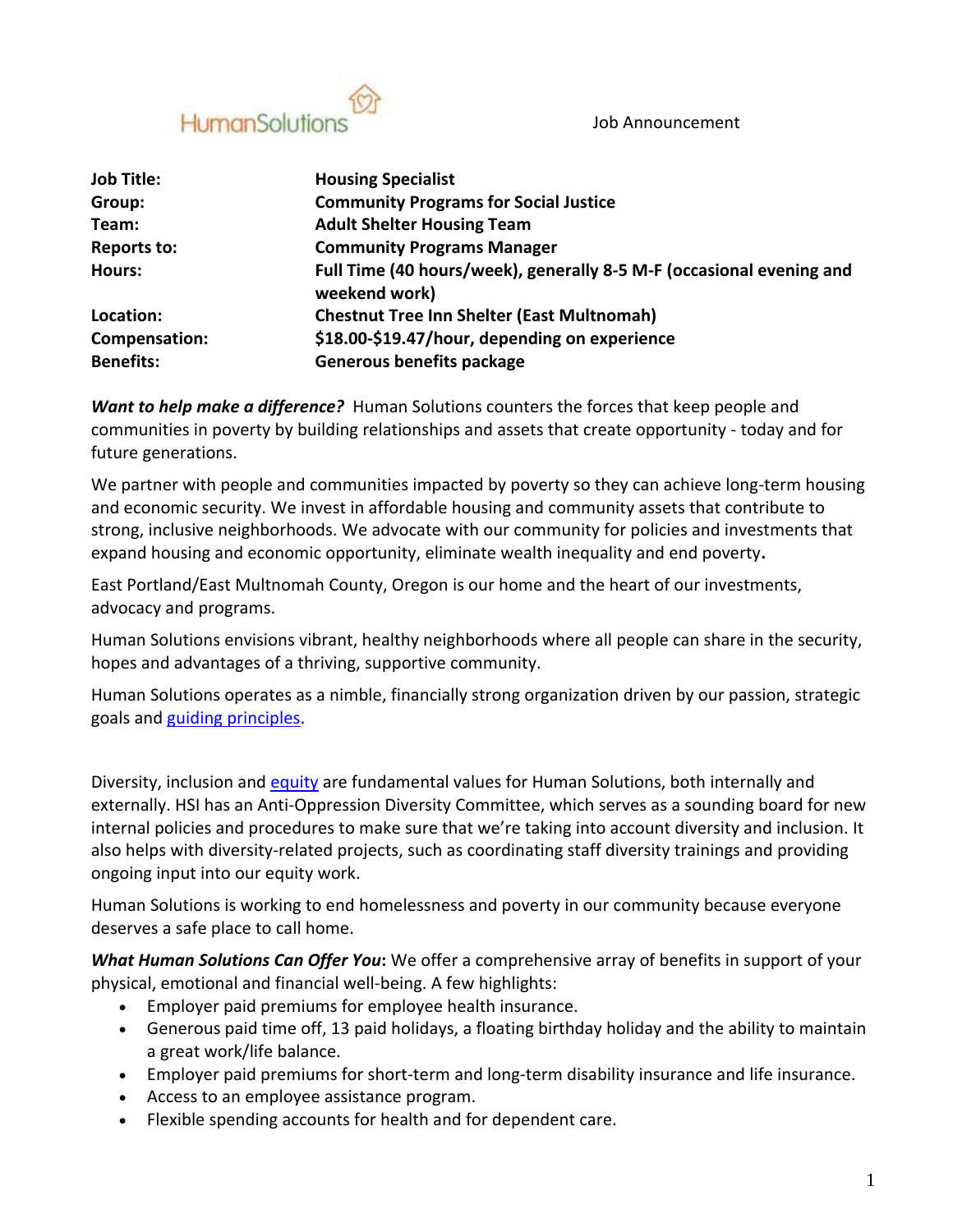Job Announcement



| <b>Job Title:</b>  | <b>Housing Specialist</b>                                                             |
|--------------------|---------------------------------------------------------------------------------------|
| Group:             | <b>Community Programs for Social Justice</b>                                          |
| Team:              | <b>Adult Shelter Housing Team</b>                                                     |
| <b>Reports to:</b> | <b>Community Programs Manager</b>                                                     |
| <b>Hours:</b>      | Full Time (40 hours/week), generally 8-5 M-F (occasional evening and<br>weekend work) |
| Location:          | <b>Chestnut Tree Inn Shelter (East Multnomah)</b>                                     |
| Compensation:      | \$18.00-\$19.47/hour, depending on experience                                         |
| <b>Benefits:</b>   | <b>Generous benefits package</b>                                                      |

*Want to help make a difference?* Human Solutions counters the forces that keep people and communities in poverty by building relationships and assets that create opportunity - today and for future generations.

We partner with people and communities impacted by poverty so they can achieve long-term housing and economic security. We invest in affordable housing and community assets that contribute to strong, inclusive neighborhoods. We advocate with our community for policies and investments that expand housing and economic opportunity, eliminate wealth inequality and end poverty**.**

East Portland/East Multnomah County, Oregon is our home and the heart of our investments, advocacy and programs.

Human Solutions envisions vibrant, healthy neighborhoods where all people can share in the security, hopes and advantages of a thriving, supportive community.

Human Solutions operates as a nimble, financially strong organization driven by our passion, strategic goals and [guiding principles.](https://humansolutions.org/wp-content/uploads/2018/10/Guiding-Principles-for-Human-Solutions-2018.pdf)

Diversity, inclusion and [equity](https://humansolutions.org/wp-content/uploads/2018/10/Human-Solutions-Commitment-to-Diversity-Equity-and-Inclusion-2018.pdf) are fundamental values for Human Solutions, both internally and externally. HSI has an Anti-Oppression Diversity Committee, which serves as a sounding board for new internal policies and procedures to make sure that we're taking into account diversity and inclusion. It also helps with diversity-related projects, such as coordinating staff diversity trainings and providing ongoing input into our equity work.

Human Solutions is working to end homelessness and poverty in our community because everyone deserves a safe place to call home.

*What Human Solutions Can Offer You***:** We offer a comprehensive array of benefits in support of your physical, emotional and financial well-being. A few highlights:

- Employer paid premiums for employee health insurance.
- Generous paid time off, 13 paid holidays, a floating birthday holiday and the ability to maintain a great work/life balance.
- Employer paid premiums for short-term and long-term disability insurance and life insurance.
- Access to an employee assistance program.
- Flexible spending accounts for health and for dependent care.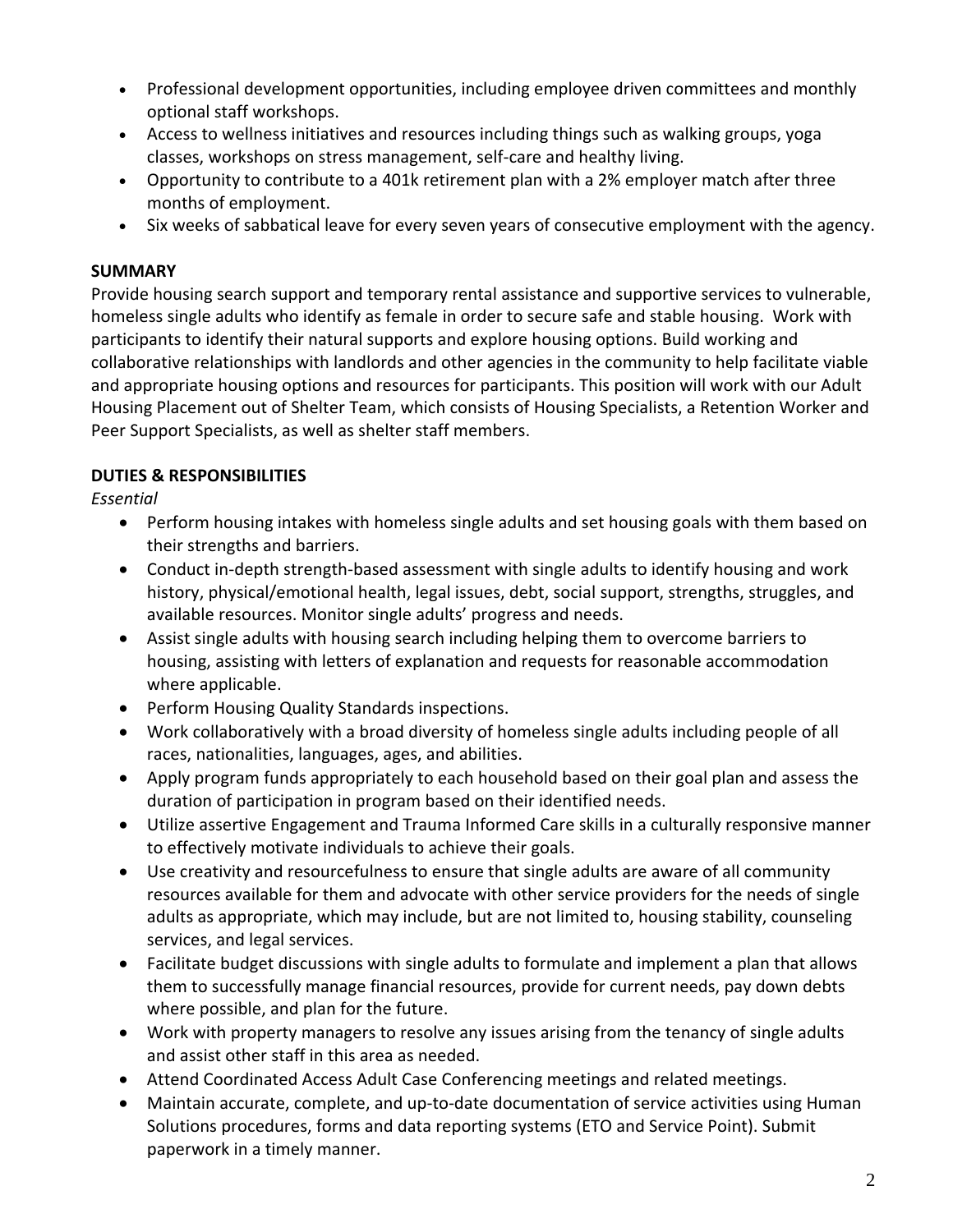- Professional development opportunities, including employee driven committees and monthly optional staff workshops.
- Access to wellness initiatives and resources including things such as walking groups, yoga classes, workshops on stress management, self-care and healthy living.
- Opportunity to contribute to a 401k retirement plan with a 2% employer match after three months of employment.
- Six weeks of sabbatical leave for every seven years of consecutive employment with the agency.

## **SUMMARY**

Provide housing search support and temporary rental assistance and supportive services to vulnerable, homeless single adults who identify as female in order to secure safe and stable housing. Work with participants to identify their natural supports and explore housing options. Build working and collaborative relationships with landlords and other agencies in the community to help facilitate viable and appropriate housing options and resources for participants. This position will work with our Adult Housing Placement out of Shelter Team, which consists of Housing Specialists, a Retention Worker and Peer Support Specialists, as well as shelter staff members.

## **DUTIES & RESPONSIBILITIES**

*Essential*

- Perform housing intakes with homeless single adults and set housing goals with them based on their strengths and barriers.
- Conduct in-depth strength-based assessment with single adults to identify housing and work history, physical/emotional health, legal issues, debt, social support, strengths, struggles, and available resources. Monitor single adults' progress and needs.
- Assist single adults with housing search including helping them to overcome barriers to housing, assisting with letters of explanation and requests for reasonable accommodation where applicable.
- Perform Housing Quality Standards inspections.
- Work collaboratively with a broad diversity of homeless single adults including people of all races, nationalities, languages, ages, and abilities.
- Apply program funds appropriately to each household based on their goal plan and assess the duration of participation in program based on their identified needs.
- Utilize assertive Engagement and Trauma Informed Care skills in a culturally responsive manner to effectively motivate individuals to achieve their goals.
- Use creativity and resourcefulness to ensure that single adults are aware of all community resources available for them and advocate with other service providers for the needs of single adults as appropriate, which may include, but are not limited to, housing stability, counseling services, and legal services.
- Facilitate budget discussions with single adults to formulate and implement a plan that allows them to successfully manage financial resources, provide for current needs, pay down debts where possible, and plan for the future.
- Work with property managers to resolve any issues arising from the tenancy of single adults and assist other staff in this area as needed.
- Attend Coordinated Access Adult Case Conferencing meetings and related meetings.
- Maintain accurate, complete, and up-to-date documentation of service activities using Human Solutions procedures, forms and data reporting systems (ETO and Service Point). Submit paperwork in a timely manner.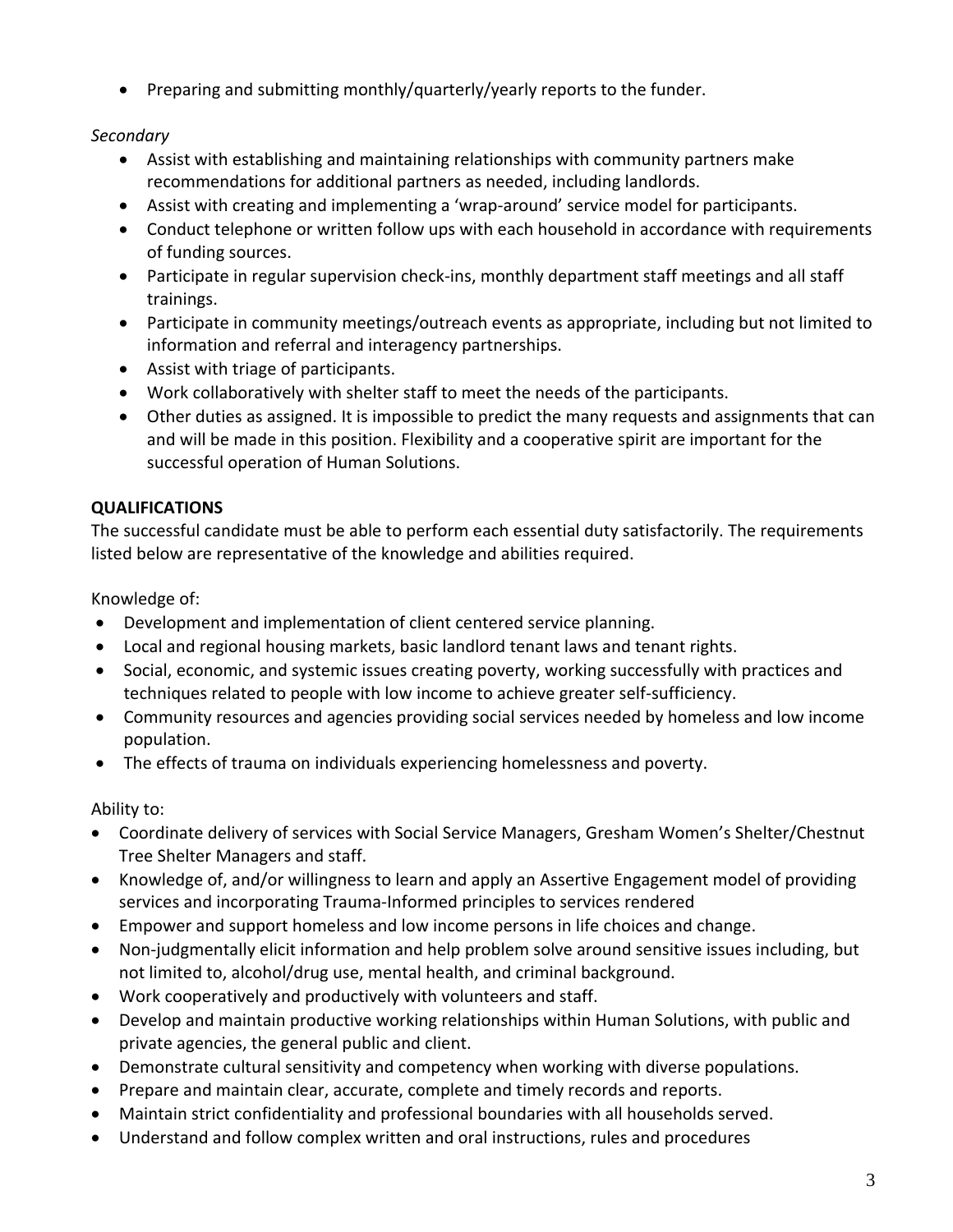• Preparing and submitting monthly/quarterly/yearly reports to the funder.

## *Secondary*

- Assist with establishing and maintaining relationships with community partners make recommendations for additional partners as needed, including landlords.
- Assist with creating and implementing a 'wrap-around' service model for participants.
- Conduct telephone or written follow ups with each household in accordance with requirements of funding sources.
- Participate in regular supervision check-ins, monthly department staff meetings and all staff trainings.
- Participate in community meetings/outreach events as appropriate, including but not limited to information and referral and interagency partnerships.
- Assist with triage of participants.
- Work collaboratively with shelter staff to meet the needs of the participants.
- Other duties as assigned. It is impossible to predict the many requests and assignments that can and will be made in this position. Flexibility and a cooperative spirit are important for the successful operation of Human Solutions.

# **QUALIFICATIONS**

The successful candidate must be able to perform each essential duty satisfactorily. The requirements listed below are representative of the knowledge and abilities required.

Knowledge of:

- Development and implementation of client centered service planning.
- Local and regional housing markets, basic landlord tenant laws and tenant rights.
- Social, economic, and systemic issues creating poverty, working successfully with practices and techniques related to people with low income to achieve greater self-sufficiency.
- Community resources and agencies providing social services needed by homeless and low income population.
- The effects of trauma on individuals experiencing homelessness and poverty.

Ability to:

- Coordinate delivery of services with Social Service Managers, Gresham Women's Shelter/Chestnut Tree Shelter Managers and staff.
- Knowledge of, and/or willingness to learn and apply an Assertive Engagement model of providing services and incorporating Trauma-Informed principles to services rendered
- Empower and support homeless and low income persons in life choices and change.
- Non-judgmentally elicit information and help problem solve around sensitive issues including, but not limited to, alcohol/drug use, mental health, and criminal background.
- Work cooperatively and productively with volunteers and staff.
- Develop and maintain productive working relationships within Human Solutions, with public and private agencies, the general public and client.
- Demonstrate cultural sensitivity and competency when working with diverse populations.
- Prepare and maintain clear, accurate, complete and timely records and reports.
- Maintain strict confidentiality and professional boundaries with all households served.
- Understand and follow complex written and oral instructions, rules and procedures